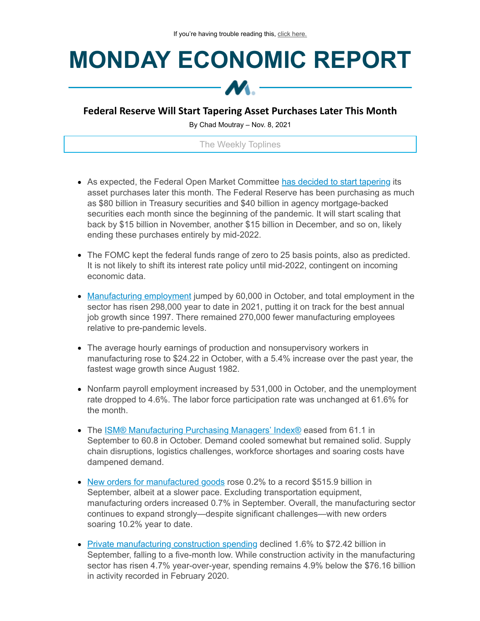## **MONDAY ECONOMIC REPORT**



## **Federal Reserve Will Start Tapering Asset Purchases Later This Month**

By Chad Moutray – Nov. 8, 2021

The Weekly Toplines

- As expected, the Federal Open Market Committee has decided to start [tapering](https://click.email.nam.org/?qs=699ee2409f414767e0c74a250613969663e47177c701e40747b4f8ab6a61903d17967559201df92a5a272266388788459f10115ea62af01d) its asset purchases later this month. The Federal Reserve has been purchasing as much as \$80 billion in Treasury securities and \$40 billion in agency mortgage-backed securities each month since the beginning of the pandemic. It will start scaling that back by \$15 billion in November, another \$15 billion in December, and so on, likely ending these purchases entirely by mid-2022.
- The FOMC kept the federal funds range of zero to 25 basis points, also as predicted. It is not likely to shift its interest rate policy until mid-2022, contingent on incoming economic data.
- [Manufacturing](https://click.email.nam.org/?qs=5b54ad4373b9fd9de067bb95eedd051a94102aea3e57fdaf58d8d128a28d68d1a776870489aae4c4c99739724c23efd00570110a94f27b66) employment jumped by 60,000 in October, and total employment in the sector has risen 298,000 year to date in 2021, putting it on track for the best annual job growth since 1997. There remained 270,000 fewer manufacturing employees relative to pre-pandemic levels.
- The average hourly earnings of production and nonsupervisory workers in manufacturing rose to \$24.22 in October, with a 5.4% increase over the past year, the fastest wage growth since August 1982.
- Nonfarm payroll employment increased by 531,000 in October, and the unemployment rate dropped to 4.6%. The labor force participation rate was unchanged at 61.6% for the month.
- The **ISM® [Manufacturing](https://click.email.nam.org/?qs=5b54ad4373b9fd9d83498deca216a228b361cd4218ae4af653e40c269cfd3452a28fd2a4f06224ef5e2808e909e4df55eb86b141fda7b2a8) Purchasing Managers' Index®** eased from 61.1 in September to 60.8 in October. Demand cooled somewhat but remained solid. Supply chain disruptions, logistics challenges, workforce shortages and soaring costs have dampened demand.
- New orders for [manufactured](https://click.email.nam.org/?qs=5b54ad4373b9fd9df54f8692b3a809164660eff8893007daf7b3c486e86cbbd0a69659ca38cf44725c2e20d63e93d359cfa981d10dc9d6e3) goods rose 0.2% to a record \$515.9 billion in September, albeit at a slower pace. Excluding transportation equipment, manufacturing orders increased 0.7% in September. Overall, the manufacturing sector continues to expand strongly—despite significant challenges—with new orders soaring 10.2% year to date.
- Private [manufacturing](https://click.email.nam.org/?qs=5b54ad4373b9fd9d851ffa8d8454e0ba6484a4d4ee32ef8953e0bb2893d8f9de4d74db126c766945b9f6b80d23be49a230402ae2a82af365) construction spending declined 1.6% to \$72.42 billion in September, falling to a five-month low. While construction activity in the manufacturing sector has risen 4.7% year-over-year, spending remains 4.9% below the \$76.16 billion in activity recorded in February 2020.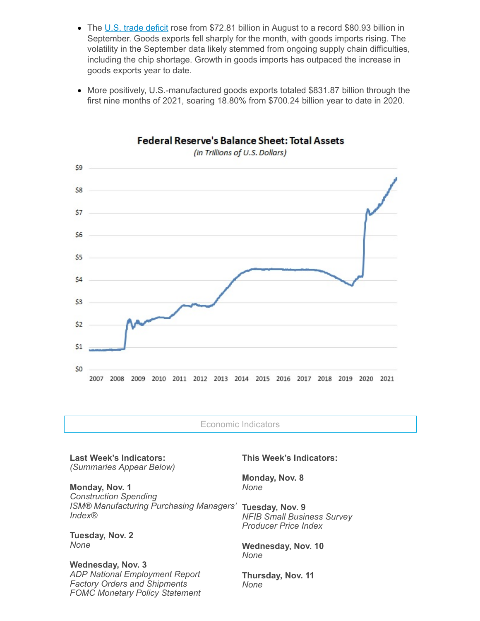- The U.S. trade [deficit](https://click.email.nam.org/?qs=5b54ad4373b9fd9d8339e0eba09d0b0f6de00452d4b41788b8a874cdc27fce4510c3e4195cbf168cb21719ece7cacc70dedafbe65036456c) rose from \$72.81 billion in August to a record \$80.93 billion in September. Goods exports fell sharply for the month, with goods imports rising. The volatility in the September data likely stemmed from ongoing supply chain difficulties, including the chip shortage. Growth in goods imports has outpaced the increase in goods exports year to date.
- More positively, U.S.-manufactured goods exports totaled \$831.87 billion through the first nine months of 2021, soaring 18.80% from \$700.24 billion year to date in 2020.



**Federal Reserve's Balance Sheet: Total Assets** 

(in Trillions of U.S. Dollars)

Economic Indicators

**Last Week's Indicators:** *(Summaries Appear Below)*

**Monday, Nov. 1** *Construction Spending ISM® Manufacturing Purchasing Managers' Index®*

**Tuesday, Nov. 2** *None*

**Wednesday, Nov. 3** *ADP National Employment Report Factory Orders and Shipments FOMC Monetary Policy Statement* **This Week's Indicators:**

**Monday, Nov. 8** *None*

**Tuesday, Nov. 9** *NFIB Small Business Survey Producer Price Index*

**Wednesday, Nov. 10** *None*

**Thursday, Nov. 11** *None*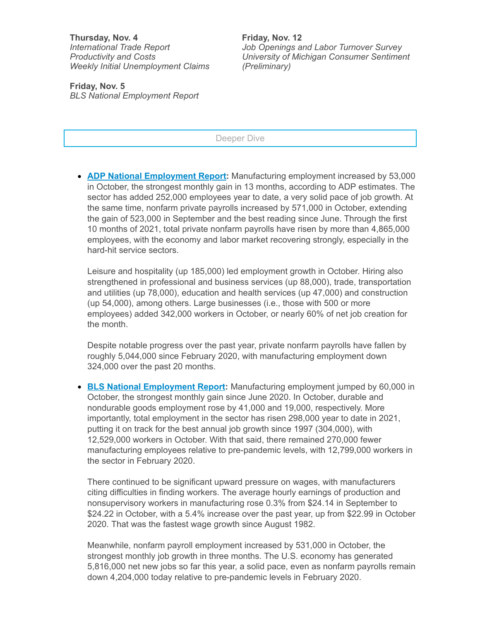**Thursday, Nov. 4** *International Trade Report Productivity and Costs Weekly Initial Unemployment Claims*

**Friday, Nov. 5** *BLS National Employment Report* **Friday, Nov. 12** *Job Openings and Labor Turnover Survey University of Michigan Consumer Sentiment (Preliminary)*

Deeper Dive

**ADP National [Employment](https://click.email.nam.org/?qs=5b54ad4373b9fd9dc592c0b3b1bf5b5b5ee6657392da3d45a5d8f7306223da70c9c4b50a2944dd0dd53bf72660bd2944a0a7bfed85a6a20e) Report:** Manufacturing employment increased by 53,000 in October, the strongest monthly gain in 13 months, according to ADP estimates. The sector has added 252,000 employees year to date, a very solid pace of job growth. At the same time, nonfarm private payrolls increased by 571,000 in October, extending the gain of 523,000 in September and the best reading since June. Through the first 10 months of 2021, total private nonfarm payrolls have risen by more than 4,865,000 employees, with the economy and labor market recovering strongly, especially in the hard-hit service sectors.

Leisure and hospitality (up 185,000) led employment growth in October. Hiring also strengthened in professional and business services (up 88,000), trade, transportation and utilities (up 78,000), education and health services (up 47,000) and construction (up 54,000), among others. Large businesses (i.e., those with 500 or more employees) added 342,000 workers in October, or nearly 60% of net job creation for the month.

Despite notable progress over the past year, private nonfarm payrolls have fallen by roughly 5,044,000 since February 2020, with manufacturing employment down 324,000 over the past 20 months.

**BLS National [Employment](https://click.email.nam.org/?qs=5b54ad4373b9fd9de067bb95eedd051a94102aea3e57fdaf58d8d128a28d68d1a776870489aae4c4c99739724c23efd00570110a94f27b66) Report:** Manufacturing employment jumped by 60,000 in October, the strongest monthly gain since June 2020. In October, durable and nondurable goods employment rose by 41,000 and 19,000, respectively. More importantly, total employment in the sector has risen 298,000 year to date in 2021, putting it on track for the best annual job growth since 1997 (304,000), with 12,529,000 workers in October. With that said, there remained 270,000 fewer manufacturing employees relative to pre-pandemic levels, with 12,799,000 workers in the sector in February 2020.

There continued to be significant upward pressure on wages, with manufacturers citing difficulties in finding workers. The average hourly earnings of production and nonsupervisory workers in manufacturing rose 0.3% from \$24.14 in September to \$24.22 in October, with a 5.4% increase over the past year, up from \$22.99 in October 2020. That was the fastest wage growth since August 1982.

Meanwhile, nonfarm payroll employment increased by 531,000 in October, the strongest monthly job growth in three months. The U.S. economy has generated 5,816,000 net new jobs so far this year, a solid pace, even as nonfarm payrolls remain down 4,204,000 today relative to pre-pandemic levels in February 2020.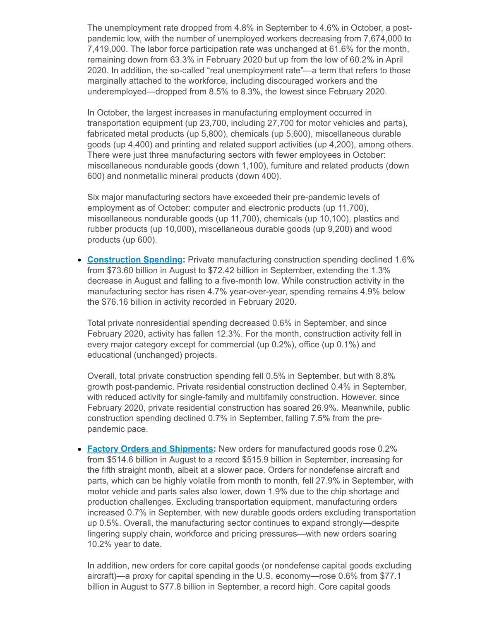The unemployment rate dropped from 4.8% in September to 4.6% in October, a postpandemic low, with the number of unemployed workers decreasing from 7,674,000 to 7,419,000. The labor force participation rate was unchanged at 61.6% for the month, remaining down from 63.3% in February 2020 but up from the low of 60.2% in April 2020. In addition, the so-called "real unemployment rate"—a term that refers to those marginally attached to the workforce, including discouraged workers and the underemployed—dropped from 8.5% to 8.3%, the lowest since February 2020.

In October, the largest increases in manufacturing employment occurred in transportation equipment (up 23,700, including 27,700 for motor vehicles and parts), fabricated metal products (up 5,800), chemicals (up 5,600), miscellaneous durable goods (up 4,400) and printing and related support activities (up 4,200), among others. There were just three manufacturing sectors with fewer employees in October: miscellaneous nondurable goods (down 1,100), furniture and related products (down 600) and nonmetallic mineral products (down 400).

Six major manufacturing sectors have exceeded their pre-pandemic levels of employment as of October: computer and electronic products (up 11,700), miscellaneous nondurable goods (up 11,700), chemicals (up 10,100), plastics and rubber products (up 10,000), miscellaneous durable goods (up 9,200) and wood products (up 600).

**[Construction](https://click.email.nam.org/?qs=5b54ad4373b9fd9d851ffa8d8454e0ba6484a4d4ee32ef8953e0bb2893d8f9de4d74db126c766945b9f6b80d23be49a230402ae2a82af365) Spending:** Private manufacturing construction spending declined 1.6% from \$73.60 billion in August to \$72.42 billion in September, extending the 1.3% decrease in August and falling to a five-month low. While construction activity in the manufacturing sector has risen 4.7% year-over-year, spending remains 4.9% below the \$76.16 billion in activity recorded in February 2020.

Total private nonresidential spending decreased 0.6% in September, and since February 2020, activity has fallen 12.3%. For the month, construction activity fell in every major category except for commercial (up 0.2%), office (up 0.1%) and educational (unchanged) projects.

Overall, total private construction spending fell 0.5% in September, but with 8.8% growth post-pandemic. Private residential construction declined 0.4% in September, with reduced activity for single-family and multifamily construction. However, since February 2020, private residential construction has soared 26.9%. Meanwhile, public construction spending declined 0.7% in September, falling 7.5% from the prepandemic pace.

**Factory Orders and [Shipments](https://click.email.nam.org/?qs=5b54ad4373b9fd9df54f8692b3a809164660eff8893007daf7b3c486e86cbbd0a69659ca38cf44725c2e20d63e93d359cfa981d10dc9d6e3):** New orders for manufactured goods rose 0.2% from \$514.6 billion in August to a record \$515.9 billion in September, increasing for the fifth straight month, albeit at a slower pace. Orders for nondefense aircraft and parts, which can be highly volatile from month to month, fell 27.9% in September, with motor vehicle and parts sales also lower, down 1.9% due to the chip shortage and production challenges. Excluding transportation equipment, manufacturing orders increased 0.7% in September, with new durable goods orders excluding transportation up 0.5%. Overall, the manufacturing sector continues to expand strongly—despite lingering supply chain, workforce and pricing pressures—with new orders soaring 10.2% year to date.

In addition, new orders for core capital goods (or nondefense capital goods excluding aircraft)—a proxy for capital spending in the U.S. economy—rose 0.6% from \$77.1 billion in August to \$77.8 billion in September, a record high. Core capital goods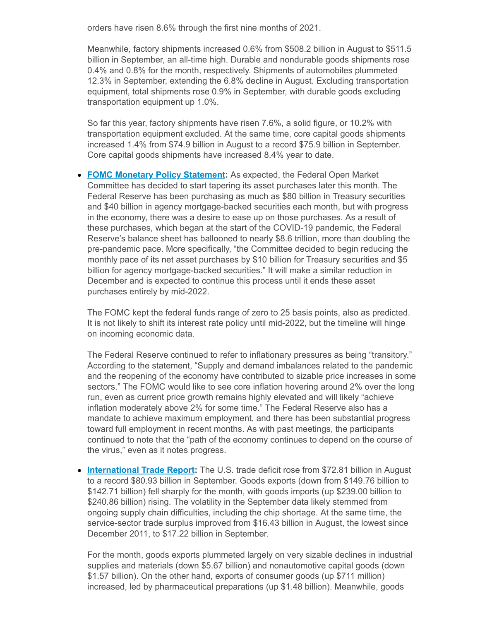orders have risen 8.6% through the first nine months of 2021.

Meanwhile, factory shipments increased 0.6% from \$508.2 billion in August to \$511.5 billion in September, an all-time high. Durable and nondurable goods shipments rose 0.4% and 0.8% for the month, respectively. Shipments of automobiles plummeted 12.3% in September, extending the 6.8% decline in August. Excluding transportation equipment, total shipments rose 0.9% in September, with durable goods excluding transportation equipment up 1.0%.

So far this year, factory shipments have risen 7.6%, a solid figure, or 10.2% with transportation equipment excluded. At the same time, core capital goods shipments increased 1.4% from \$74.9 billion in August to a record \$75.9 billion in September. Core capital goods shipments have increased 8.4% year to date.

**FOMC Monetary Policy [Statement:](https://click.email.nam.org/?qs=699ee2409f414767e0c74a250613969663e47177c701e40747b4f8ab6a61903d17967559201df92a5a272266388788459f10115ea62af01d)** As expected, the Federal Open Market Committee has decided to start tapering its asset purchases later this month. The Federal Reserve has been purchasing as much as \$80 billion in Treasury securities and \$40 billion in agency mortgage-backed securities each month, but with progress in the economy, there was a desire to ease up on those purchases. As a result of these purchases, which began at the start of the COVID-19 pandemic, the Federal Reserve's balance sheet has ballooned to nearly \$8.6 trillion, more than doubling the pre-pandemic pace. More specifically, "the Committee decided to begin reducing the monthly pace of its net asset purchases by \$10 billion for Treasury securities and \$5 billion for agency mortgage-backed securities." It will make a similar reduction in December and is expected to continue this process until it ends these asset purchases entirely by mid-2022.

The FOMC kept the federal funds range of zero to 25 basis points, also as predicted. It is not likely to shift its interest rate policy until mid-2022, but the timeline will hinge on incoming economic data.

The Federal Reserve continued to refer to inflationary pressures as being "transitory." According to the statement, "Supply and demand imbalances related to the pandemic and the reopening of the economy have contributed to sizable price increases in some sectors." The FOMC would like to see core inflation hovering around 2% over the long run, even as current price growth remains highly elevated and will likely "achieve inflation moderately above 2% for some time." The Federal Reserve also has a mandate to achieve maximum employment, and there has been substantial progress toward full employment in recent months. As with past meetings, the participants continued to note that the "path of the economy continues to depend on the course of the virus," even as it notes progress.

**[International](https://click.email.nam.org/?qs=5b54ad4373b9fd9d8339e0eba09d0b0f6de00452d4b41788b8a874cdc27fce4510c3e4195cbf168cb21719ece7cacc70dedafbe65036456c) Trade Report:** The U.S. trade deficit rose from \$72.81 billion in August to a record \$80.93 billion in September. Goods exports (down from \$149.76 billion to \$142.71 billion) fell sharply for the month, with goods imports (up \$239.00 billion to \$240.86 billion) rising. The volatility in the September data likely stemmed from ongoing supply chain difficulties, including the chip shortage. At the same time, the service-sector trade surplus improved from \$16.43 billion in August, the lowest since December 2011, to \$17.22 billion in September.

For the month, goods exports plummeted largely on very sizable declines in industrial supplies and materials (down \$5.67 billion) and nonautomotive capital goods (down \$1.57 billion). On the other hand, exports of consumer goods (up \$711 million) increased, led by pharmaceutical preparations (up \$1.48 billion). Meanwhile, goods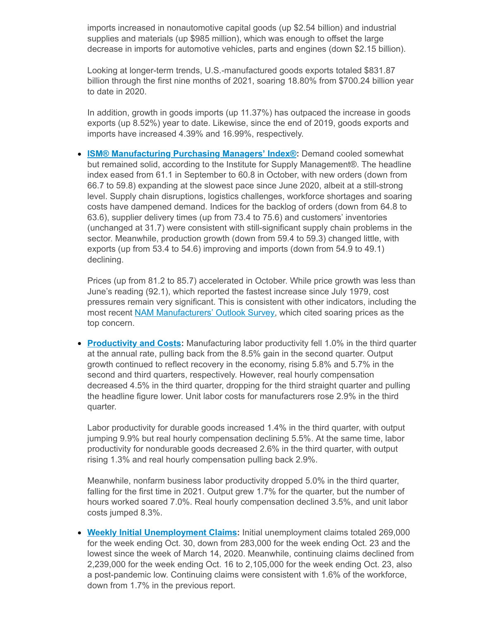imports increased in nonautomotive capital goods (up \$2.54 billion) and industrial supplies and materials (up \$985 million), which was enough to offset the large decrease in imports for automotive vehicles, parts and engines (down \$2.15 billion).

Looking at longer-term trends, U.S.-manufactured goods exports totaled \$831.87 billion through the first nine months of 2021, soaring 18.80% from \$700.24 billion year to date in 2020.

In addition, growth in goods imports (up 11.37%) has outpaced the increase in goods exports (up 8.52%) year to date. Likewise, since the end of 2019, goods exports and imports have increased 4.39% and 16.99%, respectively.

**ISM® [Manufacturing](https://click.email.nam.org/?qs=5b54ad4373b9fd9d83498deca216a228b361cd4218ae4af653e40c269cfd3452a28fd2a4f06224ef5e2808e909e4df55eb86b141fda7b2a8) Purchasing Managers' Index®:** Demand cooled somewhat but remained solid, according to the Institute for Supply Management®. The headline index eased from 61.1 in September to 60.8 in October, with new orders (down from 66.7 to 59.8) expanding at the slowest pace since June 2020, albeit at a still-strong level. Supply chain disruptions, logistics challenges, workforce shortages and soaring costs have dampened demand. Indices for the backlog of orders (down from 64.8 to 63.6), supplier delivery times (up from 73.4 to 75.6) and customers' inventories (unchanged at 31.7) were consistent with still-significant supply chain problems in the sector. Meanwhile, production growth (down from 59.4 to 59.3) changed little, with exports (up from 53.4 to 54.6) improving and imports (down from 54.9 to 49.1) declining.

Prices (up from 81.2 to 85.7) accelerated in October. While price growth was less than June's reading (92.1), which reported the fastest increase since July 1979, cost pressures remain very significant. This is consistent with other indicators, including the most recent NAM [Manufacturers'](https://click.email.nam.org/?qs=5b54ad4373b9fd9dfc3c5c9677f5d53b944feef5a885c68409ea90d319ac7520462fe6a284cd9fdae67b9082d8a1a0b8ab4179f211e790db) Outlook Survey, which cited soaring prices as the top concern.

**[Productivity](https://click.email.nam.org/?qs=5b54ad4373b9fd9da4fb2e5fe59b42caff438d643602f86c3149593ea45af5f78ac2f926a6a19aed152c712c2fee500ed380bbac381b35dd) and Costs:** Manufacturing labor productivity fell 1.0% in the third quarter at the annual rate, pulling back from the 8.5% gain in the second quarter. Output growth continued to reflect recovery in the economy, rising 5.8% and 5.7% in the second and third quarters, respectively. However, real hourly compensation decreased 4.5% in the third quarter, dropping for the third straight quarter and pulling the headline figure lower. Unit labor costs for manufacturers rose 2.9% in the third quarter.

Labor productivity for durable goods increased 1.4% in the third quarter, with output jumping 9.9% but real hourly compensation declining 5.5%. At the same time, labor productivity for nondurable goods decreased 2.6% in the third quarter, with output rising 1.3% and real hourly compensation pulling back 2.9%.

Meanwhile, nonfarm business labor productivity dropped 5.0% in the third quarter, falling for the first time in 2021. Output grew 1.7% for the quarter, but the number of hours worked soared 7.0%. Real hourly compensation declined 3.5%, and unit labor costs jumped 8.3%.

**Weekly Initial [Unemployment](https://click.email.nam.org/?qs=5b54ad4373b9fd9d8a677ae25159d80c1f51905ebcf26c943f6b0b1bae284ffa1f15ec973a29b0047d5181eaa95f52eead60d04fadfaf1f4) Claims:** Initial unemployment claims totaled 269,000 for the week ending Oct. 30, down from 283,000 for the week ending Oct. 23 and the lowest since the week of March 14, 2020. Meanwhile, continuing claims declined from 2,239,000 for the week ending Oct. 16 to 2,105,000 for the week ending Oct. 23, also a post-pandemic low. Continuing claims were consistent with 1.6% of the workforce, down from 1.7% in the previous report.